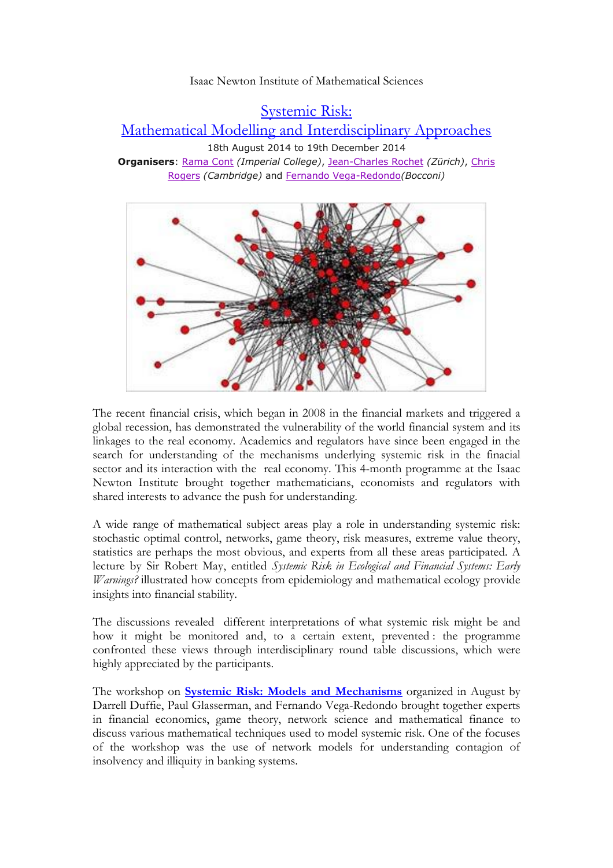## Isaac Newton Institute of Mathematical Sciences

[Systemic Risk:](https://www.newton.ac.uk/event/syr) 

[Mathematical Modelling and Interdisciplinary Approaches](https://www.newton.ac.uk/event/syr)

18th August 2014 to 19th December 2014 **Organisers**: [Rama Cont](https://www.newton.ac.uk/person/syrcon01) *(Imperial College)*, [Jean-Charles Rochet](https://www.newton.ac.uk/person/syrroc01) *(Zürich)*, [Chris](https://www.newton.ac.uk/person/syrrog01)  [Rogers](https://www.newton.ac.uk/person/syrrog01) *(Cambridge)* and [Fernando Vega-Redondo](https://www.newton.ac.uk/person/syrveg01)*(Bocconi)*



The recent financial crisis, which began in 2008 in the financial markets and triggered a global recession, has demonstrated the vulnerability of the world financial system and its linkages to the real economy. Academics and regulators have since been engaged in the search for understanding of the mechanisms underlying systemic risk in the finacial sector and its interaction with the real economy. This 4-month programme at the Isaac Newton Institute brought together mathematicians, economists and regulators with shared interests to advance the push for understanding.

A wide range of mathematical subject areas play a role in understanding systemic risk: stochastic optimal control, networks, game theory, risk measures, extreme value theory, statistics are perhaps the most obvious, and experts from all these areas participated. A lecture by Sir Robert May, entitled *Systemic Risk in Ecological and Financial Systems: Early Warnings?* illustrated how concepts from epidemiology and mathematical ecology provide insights into financial stability.

The discussions revealed different interpretations of what systemic risk might be and how it might be monitored and, to a certain extent, prevented : the programme confronted these views through interdisciplinary round table discussions, which were highly appreciated by the participants.

The workshop on **[Systemic Risk: Models and Mechanisms](https://www.newton.ac.uk/event/syrw01)** organized in August by Darrell Duffie, Paul Glasserman, and Fernando Vega-Redondo brought together experts in financial economics, game theory, network science and mathematical finance to discuss various mathematical techniques used to model systemic risk. One of the focuses of the workshop was the use of network models for understanding contagion of insolvency and illiquity in banking systems.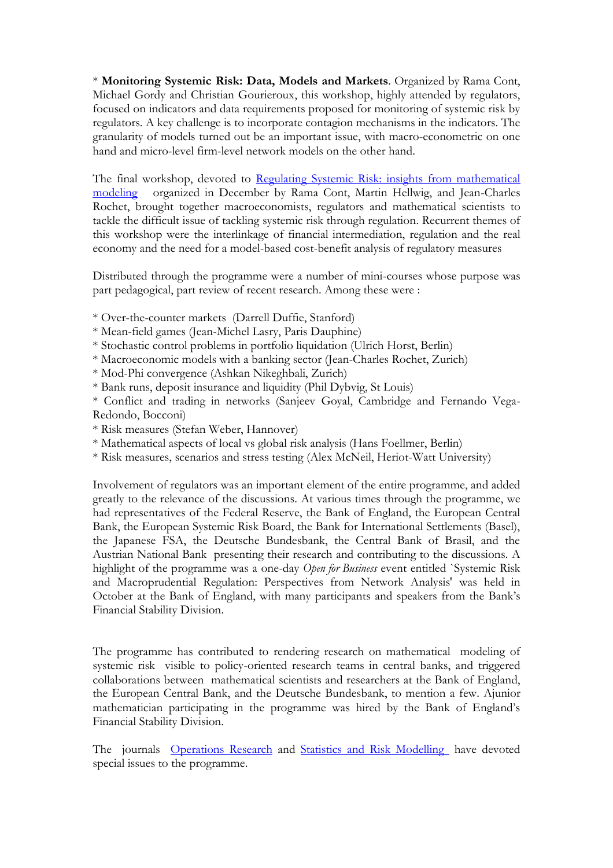\* **Monitoring Systemic Risk: Data, Models and Markets**. Organized by Rama Cont, Michael Gordy and Christian Gourieroux, this workshop, highly attended by regulators, focused on indicators and data requirements proposed for monitoring of systemic risk by regulators. A key challenge is to incorporate contagion mechanisms in the indicators. The granularity of models turned out be an important issue, with macro-econometric on one hand and micro-level firm-level network models on the other hand.

The final workshop, devoted to Regulating Systemic Risk: insights from mathematical [modeling](https://www.newton.ac.uk/event/syrw03) organized in December by Rama Cont, Martin Hellwig, and Jean-Charles Rochet, brought together macroeconomists, regulators and mathematical scientists to tackle the difficult issue of tackling systemic risk through regulation. Recurrent themes of this workshop were the interlinkage of financial intermediation, regulation and the real economy and the need for a model-based cost-benefit analysis of regulatory measures

Distributed through the programme were a number of mini-courses whose purpose was part pedagogical, part review of recent research. Among these were :

- \* Over-the-counter markets (Darrell Duffie, Stanford)
- \* Mean-field games (Jean-Michel Lasry, Paris Dauphine)
- \* Stochastic control problems in portfolio liquidation (Ulrich Horst, Berlin)
- \* Macroeconomic models with a banking sector (Jean-Charles Rochet, Zurich)
- \* Mod-Phi convergence (Ashkan Nikeghbali, Zurich)
- \* Bank runs, deposit insurance and liquidity (Phil Dybvig, St Louis)
- \* Conflict and trading in networks (Sanjeev Goyal, Cambridge and Fernando Vega-Redondo, Bocconi)
- \* Risk measures (Stefan Weber, Hannover)
- \* Mathematical aspects of local vs global risk analysis (Hans Foellmer, Berlin)
- \* Risk measures, scenarios and stress testing (Alex McNeil, Heriot-Watt University)

Involvement of regulators was an important element of the entire programme, and added greatly to the relevance of the discussions. At various times through the programme, we had representatives of the Federal Reserve, the Bank of England, the European Central Bank, the European Systemic Risk Board, the Bank for International Settlements (Basel), the Japanese FSA, the Deutsche Bundesbank, the Central Bank of Brasil, and the Austrian National Bank presenting their research and contributing to the discussions. A highlight of the programme was a one-day *Open for Business* event entitled `Systemic Risk and Macroprudential Regulation: Perspectives from Network Analysis' was held in October at the Bank of England, with many participants and speakers from the Bank's Financial Stability Division.

The programme has contributed to rendering research on mathematical modeling of systemic risk visible to policy-oriented research teams in central banks, and triggered collaborations between mathematical scientists and researchers at the Bank of England, the European Central Bank, and the Deutsche Bundesbank, to mention a few. Ajunior mathematician participating in the programme was hired by the Bank of England's Financial Stability Division.

The journals [Operations Research](http://pubsonline.informs.org/page/opre/call-for-papers) and [Statistics and Risk Modelling](http://www.degruyter.com/view/supplement/s21967040_Call_for_Papers_MonitoringSystemicRisk.pdf) have devoted special issues to the programme.